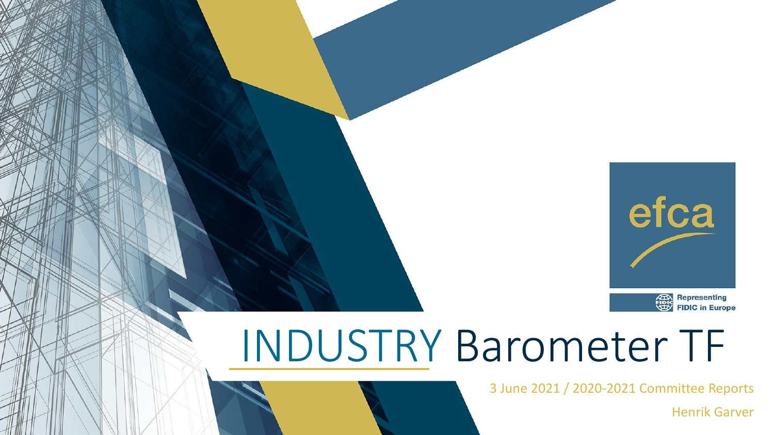

# INDUSTRY Barometer TF

3 June 2021 / 2020-2021 Committee Reports

Henrik Garver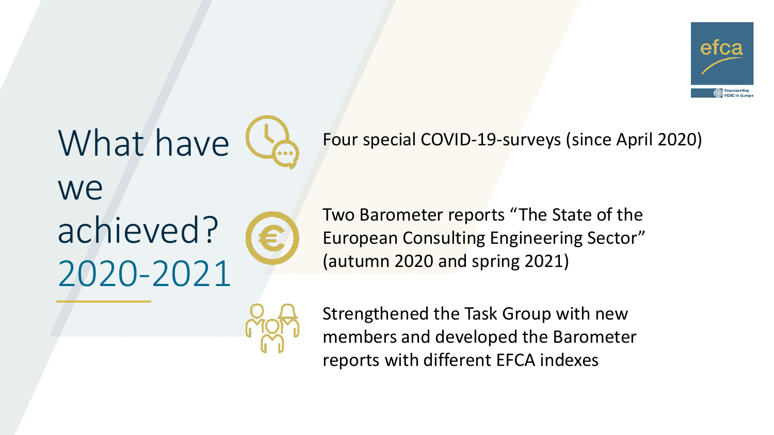

#### What have we achieved? 2020-2021

Four special COVID-19-surveys (since April 2020)

Two Barometer reports "The State of the European Consulting Engineering Sector" (autumn 2020 and spring 2021)

Strengthened the Task Group with new members and developed the Barometer reports with different EFCA indexes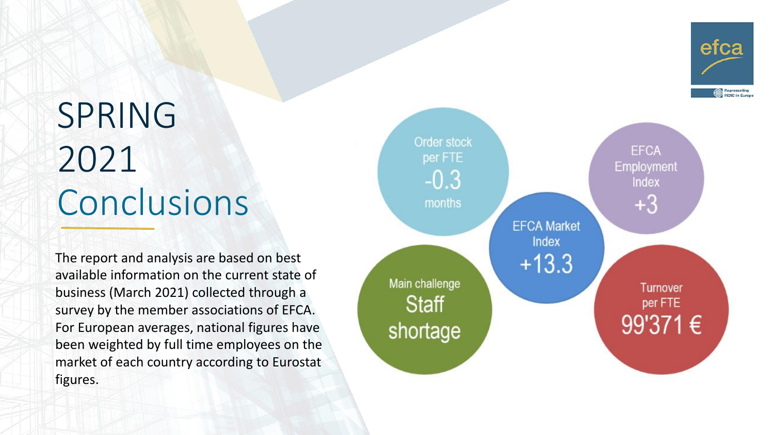

## SPRING 2021 Conclusions

The report and analysis are based on best available information on the current state of business (March 2021) collected through a survey by the member associations of EFCA. For European averages, national figures have been weighted by full time employees on the market of each country according to Eurostat figures.

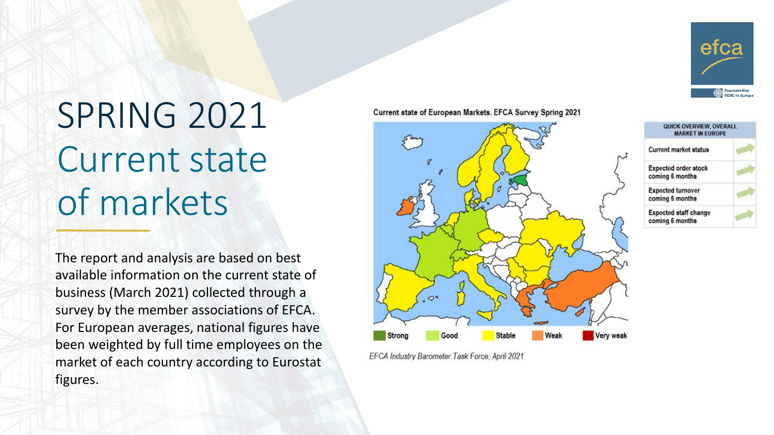

## SPRING 2021 Current state of markets

The report and analysis are based on best available information on the current state of business (March 2021) collected through a survey by the member associations of EFCA. For European averages, national figures have been weighted by full time employees on the market of each country according to Eurostat figures.

Current state of European Markets. EFCA Survey Spring 2021



EFCA Industry Barometer Task Force, April 2021

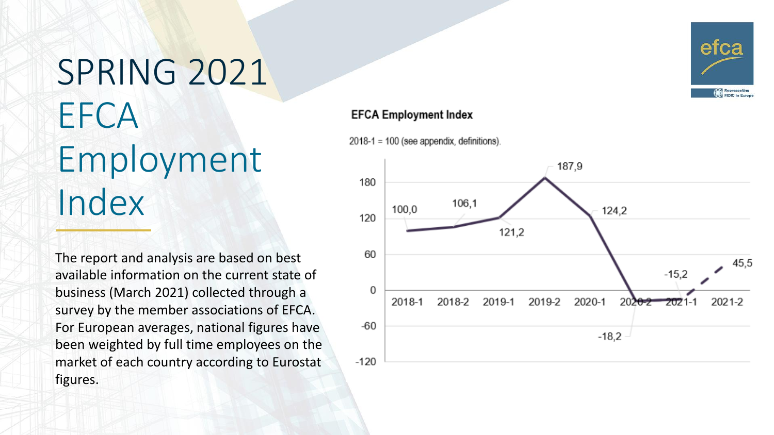## SPRING 2021 **EFCA** Employment Index

The report and analysis are based on best available information on the current state of business (March 2021) collected through a survey by the member associations of EFCA. For European averages, national figures have been weighted by full time employees on the market of each country according to Eurostat figures.



#### **EFCA Employment Index**

 $2018-1 = 100$  (see appendix, definitions).

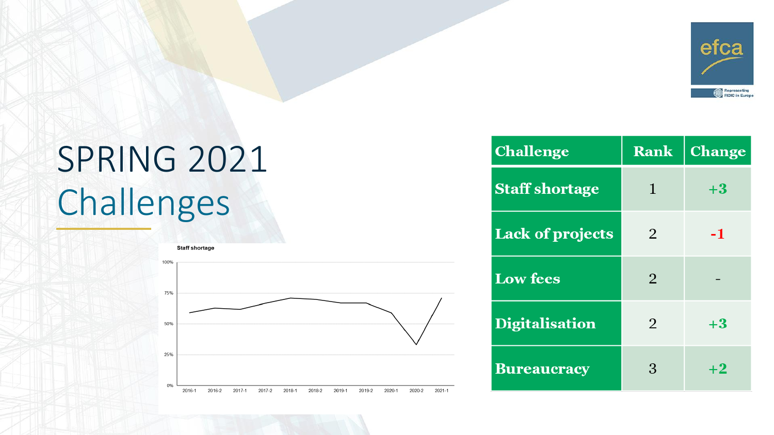

## SPRING 2021 Challenges



| <b>Challenge</b>        | <b>Rank</b> | <b>Change</b> |
|-------------------------|-------------|---------------|
| <b>Staff shortage</b>   | 1           | $+3$          |
| <b>Lack of projects</b> | 2           | -1            |
| <b>Low fees</b>         | 2           |               |
| <b>Digitalisation</b>   | 2           | $+3$          |
| <b>Bureaucracy</b>      | 3           | $+2$          |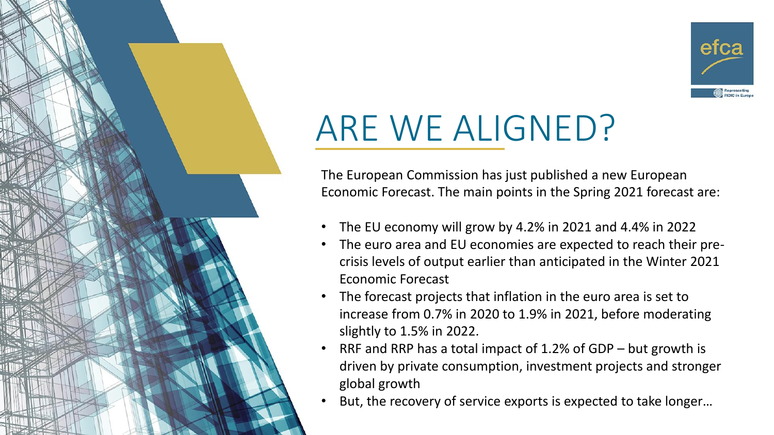

#### ARE WE ALIGNED?

The European Commission has just published a new European Economic Forecast. The main points in the Spring 2021 forecast are:

- The EU economy will grow by 4.2% in 2021 and 4.4% in 2022
- The euro area and EU economies are expected to reach their precrisis levels of output earlier than anticipated in the Winter 2021 Economic Forecast
- The forecast projects that inflation in the euro area is set to increase from 0.7% in 2020 to 1.9% in 2021, before moderating slightly to 1.5% in 2022.
- RRF and RRP has a total impact of 1.2% of GDP but growth is driven by private consumption, investment projects and stronger global growth
- But, the recovery of service exports is expected to take longer...